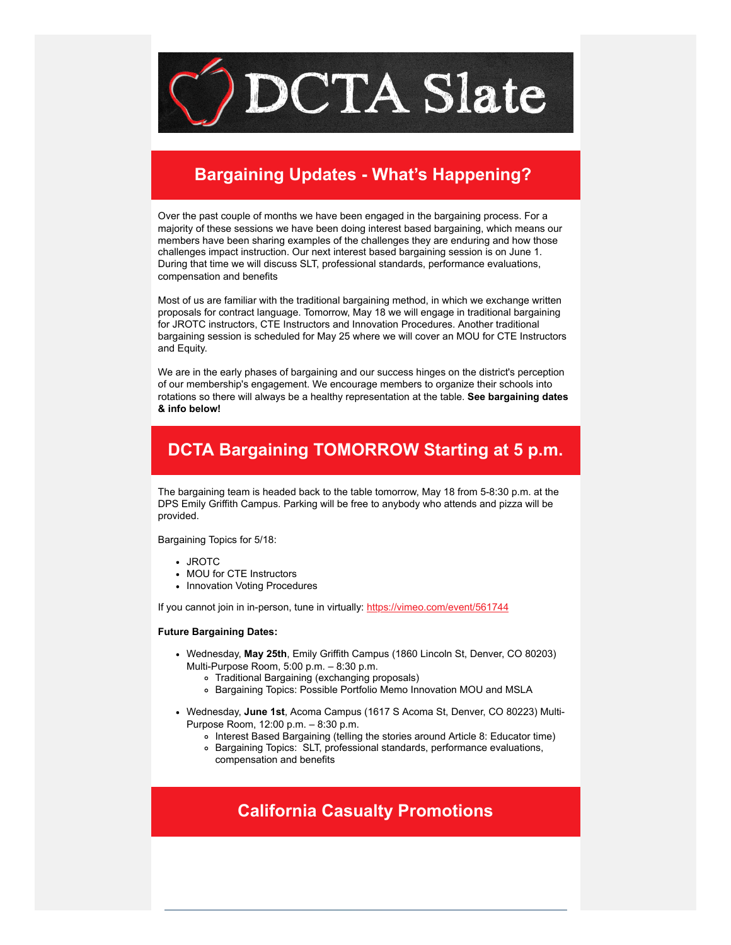

## **Bargaining Updates - What's Happening?**

Over the past couple of months we have been engaged in the bargaining process. For a majority of these sessions we have been doing interest based bargaining, which means our members have been sharing examples of the challenges they are enduring and how those challenges impact instruction. Our next interest based bargaining session is on June 1. During that time we will discuss SLT, professional standards, performance evaluations, compensation and benefits

Most of us are familiar with the traditional bargaining method, in which we exchange written proposals for contract language. Tomorrow, May 18 we will engage in traditional bargaining for JROTC instructors, CTE Instructors and Innovation Procedures. Another traditional bargaining session is scheduled for May 25 where we will cover an MOU for CTE Instructors and Equity.

We are in the early phases of bargaining and our success hinges on the district's perception of our membership's engagement. We encourage members to organize their schools into rotations so there will always be a healthy representation at the table. **See bargaining dates & info below!**

# **DCTA Bargaining TOMORROW Starting at 5 p.m.**

The bargaining team is headed back to the table tomorrow, May 18 from 5-8:30 p.m. at the DPS Emily Griffith Campus. Parking will be free to anybody who attends and pizza will be provided.

Bargaining Topics for 5/18:

- JROTC
- MOU for CTE Instructors
- Innovation Voting Procedures

If you cannot join in in-person, tune in virtually: [https://vimeo.com/event/561744](https://vimeo.com/event/561744?emci=54f22663-40d6-ec11-b656-281878b8c32f&emdi=ea000000-0000-0000-0000-000000000001&ceid={{ContactsEmailID}})

#### **Future Bargaining Dates:**

- Wednesday, **May 25th**, Emily Griffith Campus (1860 Lincoln St, Denver, CO 80203) Multi-Purpose Room, 5:00 p.m. – 8:30 p.m.
	- Traditional Bargaining (exchanging proposals)
	- Bargaining Topics: Possible Portfolio Memo Innovation MOU and MSLA
- Wednesday, **June 1st**, Acoma Campus (1617 S Acoma St, Denver, CO 80223) Multi-Purpose Room, 12:00 p.m. – 8:30 p.m.
	- Interest Based Bargaining (telling the stories around Article 8: Educator time)
	- Bargaining Topics: SLT, professional standards, performance evaluations, compensation and benefits

### **California Casualty Promotions**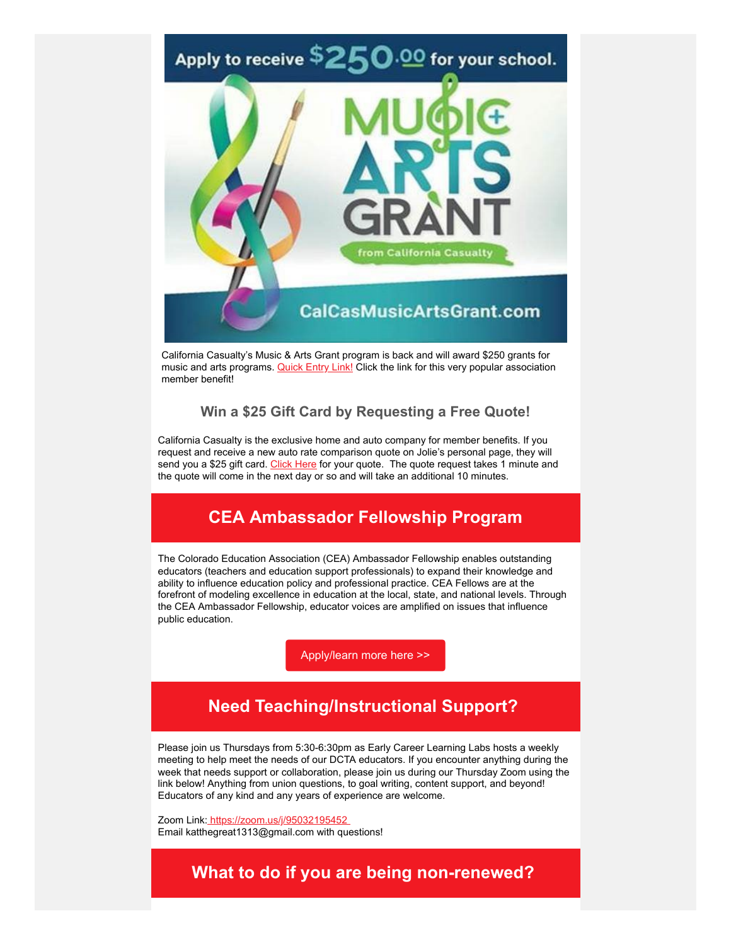

California Casualty's Music & Arts Grant program is back and will award \$250 grants for music and arts programs. [Quick Entry Link!](http://www.calcasmusicartsgrant.com/?emci=54f22663-40d6-ec11-b656-281878b8c32f&emdi=ea000000-0000-0000-0000-000000000001&ceid={{ContactsEmailID}}) Click the link for this very popular association member benefit!

### **Win a \$25 Gift Card by Requesting a Free Quote!**

California Casualty is the exclusive home and auto company for member benefits. If you request and receive a new auto rate comparison quote on Jolie's personal page, they will send you a \$25 gift card. [Click Here](https://www.readyforquote.com/jolie/?emci=54f22663-40d6-ec11-b656-281878b8c32f&emdi=ea000000-0000-0000-0000-000000000001&ceid={{ContactsEmailID}}) for your quote. The quote request takes 1 minute and the quote will come in the next day or so and will take an additional 10 minutes.

### **CEA Ambassador Fellowship Program**

The Colorado Education Association (CEA) Ambassador Fellowship enables outstanding educators (teachers and education support professionals) to expand their knowledge and ability to influence education policy and professional practice. CEA Fellows are at the forefront of modeling excellence in education at the local, state, and national levels. Through the CEA Ambassador Fellowship, educator voices are amplified on issues that influence public education.

[Apply/learn more here >>](https://form.jotform.com/220968967844173?emci=54f22663-40d6-ec11-b656-281878b8c32f&emdi=ea000000-0000-0000-0000-000000000001&ceid={{ContactsEmailID}})

### **Need Teaching/Instructional Support?**

Please join us Thursdays from 5:30-6:30pm as Early Career Learning Labs hosts a weekly meeting to help meet the needs of our DCTA educators. If you encounter anything during the week that needs support or collaboration, please join us during our Thursday Zoom using the link below! Anything from union questions, to goal writing, content support, and beyond! Educators of any kind and any years of experience are welcome.

Zoom Link[: https://zoom.us/j/95032195452](https://zoom.us/j/95032195452?emci=54f22663-40d6-ec11-b656-281878b8c32f&emdi=ea000000-0000-0000-0000-000000000001&ceid={{ContactsEmailID}})  Email katthegreat1313@gmail.com with questions!

### **What to do if you are being non-renewed?**